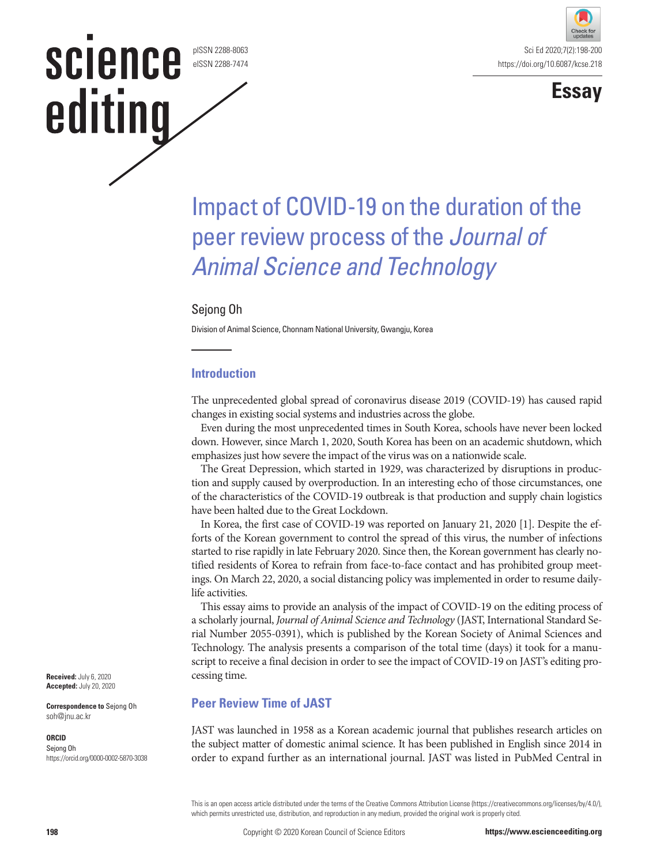# science pISSN 2288-8063 eISSN 2288-7474 editing





# Impact of COVID-19 on the duration of the peer review process of the *Journal of Animal Science and Technology*

## Sejong Oh

Division of Animal Science, Chonnam National University, Gwangju, Korea

## **Introduction**

The unprecedented global spread of coronavirus disease 2019 (COVID-19) has caused rapid changes in existing social systems and industries across the globe.

Even during the most unprecedented times in South Korea, schools have never been locked down. However, since March 1, 2020, South Korea has been on an academic shutdown, which emphasizes just how severe the impact of the virus was on a nationwide scale.

The Great Depression, which started in 1929, was characterized by disruptions in production and supply caused by overproduction. In an interesting echo of those circumstances, one of the characteristics of the COVID-19 outbreak is that production and supply chain logistics have been halted due to the Great Lockdown.

In Korea, the first case of COVID-19 was reported on January 21, 2020 [1]. Despite the efforts of the Korean government to control the spread of this virus, the number of infections started to rise rapidly in late February 2020. Since then, the Korean government has clearly notified residents of Korea to refrain from face-to-face contact and has prohibited group meetings. On March 22, 2020, a social distancing policy was implemented in order to resume dailylife activities.

This essay aims to provide an analysis of the impact of COVID-19 on the editing process of a scholarly journal, *Journal of Animal Science and Technology* (JAST, International Standard Serial Number 2055-0391), which is published by the Korean Society of Animal Sciences and Technology. The analysis presents a comparison of the total time (days) it took for a manuscript to receive a final decision in order to see the impact of COVID-19 on JAST's editing processing time.

## **Peer Review Time of JAST**

JAST was launched in 1958 as a Korean academic journal that publishes research articles on the subject matter of domestic animal science. It has been published in English since 2014 in order to expand further as an international journal. JAST was listed in PubMed Central in

This is an open access article distributed under the terms of the Creative Commons Attribution License (https://creativecommons.org/licenses/by/4.0/), which permits unrestricted use, distribution, and reproduction in any medium, provided the original work is properly cited.

**Received:** July 6, 2020 **Accepted:** July 20, 2020

**Correspondence to** Sejong Oh soh@jnu.ac.kr

#### **ORCID**

Sejong Oh https://orcid.org/0000-0002-5870-3038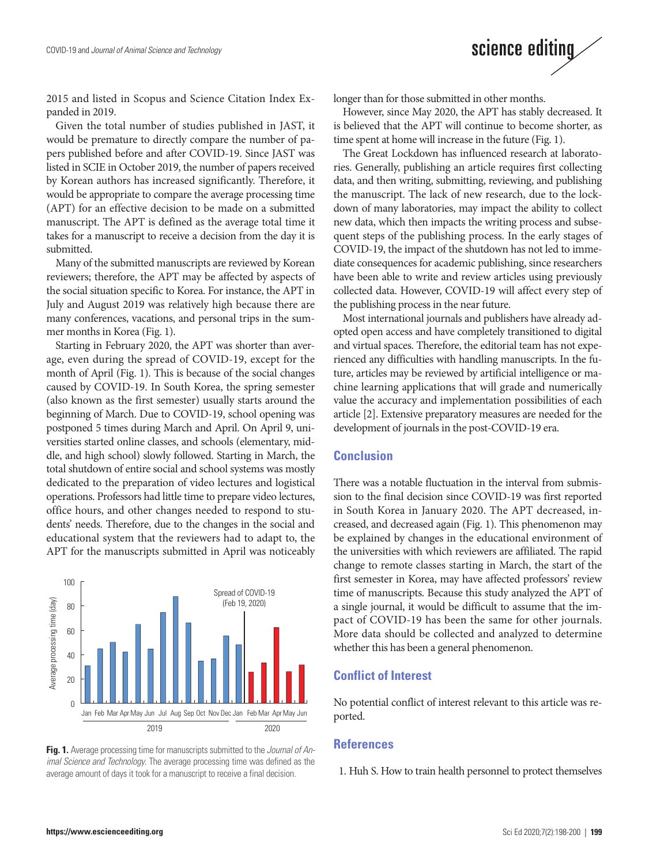

Given the total number of studies published in JAST, it would be premature to directly compare the number of papers published before and after COVID-19. Since JAST was listed in SCIE in October 2019, the number of papers received by Korean authors has increased significantly. Therefore, it would be appropriate to compare the average processing time (APT) for an effective decision to be made on a submitted manuscript. The APT is defined as the average total time it takes for a manuscript to receive a decision from the day it is submitted.

Many of the submitted manuscripts are reviewed by Korean reviewers; therefore, the APT may be affected by aspects of the social situation specific to Korea. For instance, the APT in July and August 2019 was relatively high because there are many conferences, vacations, and personal trips in the summer months in Korea (Fig. 1).

Starting in February 2020, the APT was shorter than average, even during the spread of COVID-19, except for the month of April (Fig. 1). This is because of the social changes caused by COVID-19. In South Korea, the spring semester (also known as the first semester) usually starts around the beginning of March. Due to COVID-19, school opening was postponed 5 times during March and April. On April 9, universities started online classes, and schools (elementary, middle, and high school) slowly followed. Starting in March, the total shutdown of entire social and school systems was mostly dedicated to the preparation of video lectures and logistical operations. Professors had little time to prepare video lectures, office hours, and other changes needed to respond to students' needs. Therefore, due to the changes in the social and educational system that the reviewers had to adapt to, the APT for the manuscripts submitted in April was noticeably



**Fig. 1.** Average processing time for manuscripts submitted to the *Journal of Animal Science and Technology*. The average processing time was defined as the average amount of days it took for a manuscript to receive a final decision.

longer than for those submitted in other months.

However, since May 2020, the APT has stably decreased. It is believed that the APT will continue to become shorter, as time spent at home will increase in the future (Fig. 1).

science editing

The Great Lockdown has influenced research at laboratories. Generally, publishing an article requires first collecting data, and then writing, submitting, reviewing, and publishing the manuscript. The lack of new research, due to the lockdown of many laboratories, may impact the ability to collect new data, which then impacts the writing process and subsequent steps of the publishing process. In the early stages of COVID-19, the impact of the shutdown has not led to immediate consequences for academic publishing, since researchers have been able to write and review articles using previously collected data. However, COVID-19 will affect every step of the publishing process in the near future.

Most international journals and publishers have already adopted open access and have completely transitioned to digital and virtual spaces. Therefore, the editorial team has not experienced any difficulties with handling manuscripts. In the future, articles may be reviewed by artificial intelligence or machine learning applications that will grade and numerically value the accuracy and implementation possibilities of each article [2]. Extensive preparatory measures are needed for the development of journals in the post-COVID-19 era.

### **Conclusion**

There was a notable fluctuation in the interval from submission to the final decision since COVID-19 was first reported in South Korea in January 2020. The APT decreased, increased, and decreased again (Fig. 1). This phenomenon may be explained by changes in the educational environment of the universities with which reviewers are affiliated. The rapid change to remote classes starting in March, the start of the first semester in Korea, may have affected professors' review time of manuscripts. Because this study analyzed the APT of a single journal, it would be difficult to assume that the impact of COVID-19 has been the same for other journals. More data should be collected and analyzed to determine whether this has been a general phenomenon.

#### **Conflict of Interest**

No potential conflict of interest relevant to this article was reported.

#### **References**

1. Huh S. How to train health personnel to protect themselves